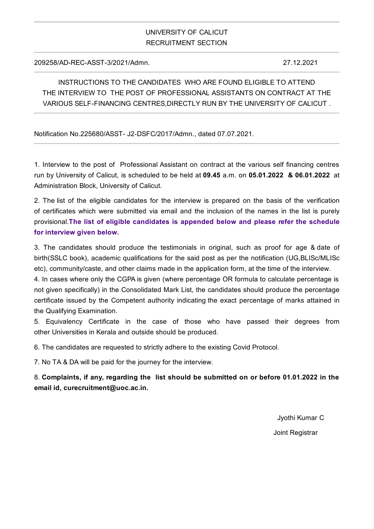## UNIVERSITY OF CALICUT RECRUITMENT SECTION

209258/AD-REC-ASST-3/2021/Admn. 27.12.2021

INSTRUCTIONS TO THE CANDIDATES WHO ARE FOUND ELIGIBLE TO ATTEND THE INTERVIEW TO THE POST OF PROFESSIONAL ASSISTANTS ON CONTRACT AT THE VARIOUS SELF-FINANCING CENTRES,DIRECTLY RUN BY THE UNIVERSITY OF CALICUT .

Notification No.225680/ASST- J2‐DSFC/2017/Admn., dated 07.07.2021.

1. Interview to the post of Professional Assistant on contract at the various self financing centres run by University of Calicut, is scheduled to be held at **09.45** a.m. on **05.01.2022 & 06.01.2022** at Administration Block, University of Calicut.

2. The list of the eligible candidates for the interview is prepared on the basis of the verification of certificates which were submitted via email and the inclusion of the names in the list is purely provisional.**The list of eligible candidates is appended below and please refer the schedule for interview given below.**

3. The candidates should produce the testimonials in original, such as proof for age & date of birth(SSLC book), academic qualifications for the said post as per the notification (UG,BLISc/MLISc etc), community/caste, and other claims made in the application form, at the time of the interview.

4. In cases where only the CGPA is given (where percentage OR formula to calculate percentage is not given specifically) in the Consolidated Mark List, the candidates should produce the percentage certificate issued by the Competent authority indicating the exact percentage of marks attained in the Qualifying Examination.

5. Equivalency Certificate in the case of those who have passed their degrees from other Universities in Kerala and outside should be produced.

6. The candidates are requested to strictly adhere to the existing Covid Protocol.

7. No TA & DA will be paid for the journey for the interview.

8. **Complaints, if any, regarding the list should be submitted on or before 01.01.2022 in the email id, curecruitment@uoc.ac.in.**

> Jyothi Kumar C Joint Registrar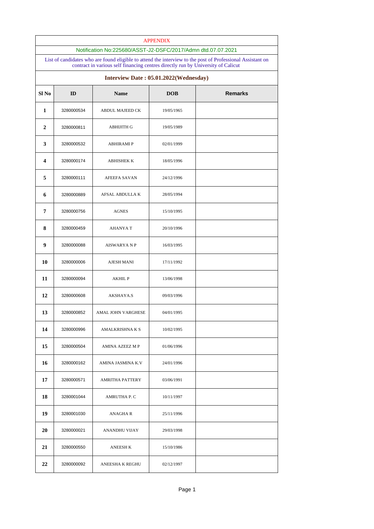|                                                                       | <b>APPENDIX</b>                                                                                                                                                            |                     |            |  |  |  |  |
|-----------------------------------------------------------------------|----------------------------------------------------------------------------------------------------------------------------------------------------------------------------|---------------------|------------|--|--|--|--|
|                                                                       | Notification No:225680/ASST-J2-DSFC/2017/Admn dtd.07.07.2021<br>List of candidates who are found eligible to attend the interview to the post of Professional Assistant on |                     |            |  |  |  |  |
|                                                                       | contract in various self financing centres directly run by University of Calicut<br>Interview Date: 05.01.2022(Wednesday)                                                  |                     |            |  |  |  |  |
| Sl <sub>No</sub><br><b>Remarks</b><br>ID<br><b>Name</b><br><b>DOB</b> |                                                                                                                                                                            |                     |            |  |  |  |  |
| 1                                                                     | 3280000534                                                                                                                                                                 | ABDUL MAJEED CK     | 19/05/1965 |  |  |  |  |
| 2                                                                     | 3280000811                                                                                                                                                                 | <b>ABHIJITH G</b>   | 19/05/1989 |  |  |  |  |
| 3                                                                     | 3280000532                                                                                                                                                                 | <b>ABHIRAMI P</b>   | 02/01/1999 |  |  |  |  |
| 4                                                                     | 3280000174                                                                                                                                                                 | ABHISHEK K          | 18/05/1996 |  |  |  |  |
| 5                                                                     | 3280000111                                                                                                                                                                 | <b>AFEEFA SAVAN</b> | 24/12/1996 |  |  |  |  |
| 6                                                                     | 3280000889                                                                                                                                                                 | AFSAL ABDULLA K     | 28/05/1994 |  |  |  |  |
| 7                                                                     | 3280000756                                                                                                                                                                 | <b>AGNES</b>        | 15/10/1995 |  |  |  |  |
| 8                                                                     | 3280000459                                                                                                                                                                 | AHANYA T            | 20/10/1996 |  |  |  |  |
| 9                                                                     | 3280000088                                                                                                                                                                 | <b>AISWARYA N P</b> | 16/03/1995 |  |  |  |  |
| 10                                                                    | 3280000006                                                                                                                                                                 | AJESH MANI          | 17/11/1992 |  |  |  |  |
| 11                                                                    | 3280000094                                                                                                                                                                 | <b>AKHIL P</b>      | 13/06/1998 |  |  |  |  |
| 12                                                                    | 3280000608                                                                                                                                                                 | AKSHAYA.S           | 09/03/1996 |  |  |  |  |
| 13                                                                    | 3280000852                                                                                                                                                                 | AMAL JOHN VARGHESE  | 04/01/1995 |  |  |  |  |
| 14                                                                    | 3280000996                                                                                                                                                                 | AMALKRISHNA K S     | 10/02/1995 |  |  |  |  |
| 15                                                                    | 3280000504                                                                                                                                                                 | AMINA AZEEZ M P     | 01/06/1996 |  |  |  |  |
| 16                                                                    | 3280000162                                                                                                                                                                 | AMINA JASMINA K.V   | 24/01/1996 |  |  |  |  |
| 17                                                                    | 3280000571                                                                                                                                                                 | AMRITHA PATTERY     | 03/06/1991 |  |  |  |  |
| 18                                                                    | 3280001044                                                                                                                                                                 | AMRUTHA P. C        | 10/11/1997 |  |  |  |  |
| 19                                                                    | 3280001030                                                                                                                                                                 | ANAGHA R            | 25/11/1996 |  |  |  |  |
| 20                                                                    | 3280000021                                                                                                                                                                 | ANANDHU VIJAY       | 29/03/1998 |  |  |  |  |
| 21                                                                    | 3280000550                                                                                                                                                                 | <b>ANEESH K</b>     | 15/10/1986 |  |  |  |  |
| 22                                                                    | 3280000092                                                                                                                                                                 | ANEESHA K REGHU     | 02/12/1997 |  |  |  |  |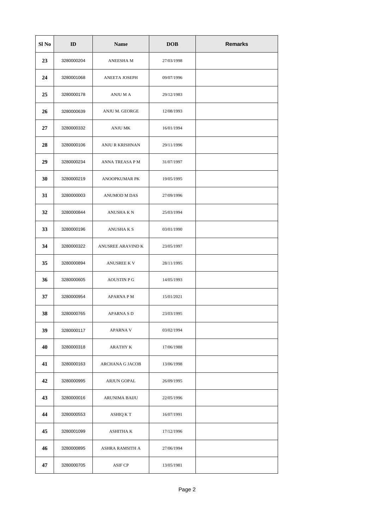| Sl No | ID         | <b>Name</b>        | <b>DOB</b> | <b>Remarks</b> |
|-------|------------|--------------------|------------|----------------|
| 23    | 3280000204 | ANEESHA M          | 27/03/1998 |                |
| 24    | 3280001068 | ANEETA JOSEPH      | 09/07/1996 |                |
| 25    | 3280000178 | ANJU M A           | 29/12/1983 |                |
| 26    | 3280000639 | ANJU M. GEORGE     | 12/08/1993 |                |
| 27    | 3280000332 | ANJU MK            | 16/01/1994 |                |
| 28    | 3280000106 | ANJU R KRISHNAN    | 29/11/1996 |                |
| 29    | 3280000234 | ANNA TREASA P M    | 31/07/1997 |                |
| 30    | 3280000219 | ANOOPKUMAR PK      | 19/05/1995 |                |
| 31    | 3280000003 | ANUMOD M DAS       | 27/09/1996 |                |
| 32    | 3280000844 | ANUSHA K N         | 25/03/1994 |                |
| 33    | 3280000196 | ANUSHA K S         | 03/01/1990 |                |
| 34    | 3280000322 | ANUSREE ARAVIND K  | 23/05/1997 |                |
| 35    | 3280000894 | ANUSREE K V        | 28/11/1995 |                |
| 36    | 3280000605 | <b>AOUSTIN P G</b> | 14/05/1993 |                |
| 37    | 3280000954 | APARNA P M         | 15/01/2021 |                |
| 38    | 3280000765 | APARNA S D         | 23/03/1995 |                |
| 39    | 3280000117 | APARNA V           | 03/02/1994 |                |
| 40    | 3280000318 | ARATHY K           | 17/06/1988 |                |
| 41    | 3280000163 | ARCHANA G JACOB    | 13/06/1998 |                |
| 42    | 3280000995 | ARJUN GOPAL        | 26/09/1995 |                |
| 43    | 3280000016 | ARUNIMA BAIJU      | 22/05/1996 |                |
| 44    | 3280000553 | ASHIQ K T          | 16/07/1991 |                |
| 45    | 3280001099 | ASHITHA K          | 17/12/1996 |                |
| 46    | 3280000895 | ASHRA RAMSITH A    | 27/06/1994 |                |
| 47    | 3280000705 | ASIF CP            | 13/05/1981 |                |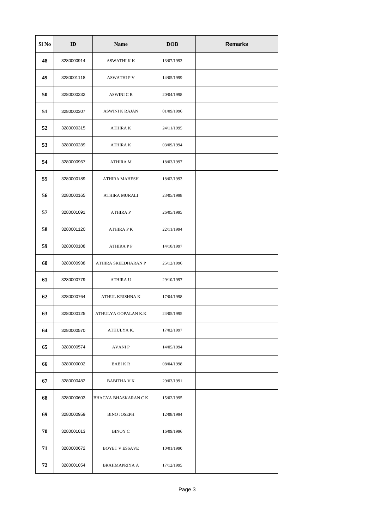| Sl No | ID         | <b>Name</b>                | <b>DOB</b> | <b>Remarks</b> |
|-------|------------|----------------------------|------------|----------------|
| 48    | 3280000914 | ASWATHI K K                | 13/07/1993 |                |
| 49    | 3280001118 | <b>ASWATHIPV</b>           | 14/05/1999 |                |
| 50    | 3280000232 | ASWINI C R                 | 20/04/1998 |                |
| 51    | 3280000307 | ASWINI K RAJAN             | 01/09/1996 |                |
| 52    | 3280000315 | ATHIRA K                   | 24/11/1995 |                |
| 53    | 3280000289 | ATHIRA K                   | 03/09/1994 |                |
| 54    | 3280000967 | ATHIRA M                   | 18/03/1997 |                |
| 55    | 3280000189 | ATHIRA MAHESH              | 18/02/1993 |                |
| 56    | 3280000165 | ATHIRA MURALI              | 23/05/1998 |                |
| 57    | 3280001091 | <b>ATHIRAP</b>             | 26/05/1995 |                |
| 58    | 3280001120 | ATHIRA P K                 | 22/11/1994 |                |
| 59    | 3280000108 | <b>ATHIRA P P</b>          | 14/10/1997 |                |
| 60    | 3280000938 | ATHIRA SREEDHARAN P        | 25/12/1996 |                |
| 61    | 3280000779 | ATHIRA U                   | 29/10/1997 |                |
| 62    | 3280000764 | ATHUL KRISHNA K            | 17/04/1998 |                |
| 63    | 3280000125 | ATHULYA GOPALAN K.K        | 24/05/1995 |                |
| 64    | 3280000570 | ATHULYA K.                 | 17/02/1997 |                |
| 65    | 3280000574 | AVANI P                    | 14/05/1994 |                |
| 66    | 3280000002 | <b>BABIKR</b>              | 08/04/1998 |                |
| 67    | 3280000482 | BABITHA V K                | 29/03/1991 |                |
| 68    | 3280000603 | <b>BHAGYA BHASKARAN CK</b> | 15/02/1995 |                |
| 69    | 3280000959 | BINO JOSEPH                | 12/08/1994 |                |
| 70    | 3280001013 | BINOY C                    | 16/09/1996 |                |
| 71    | 3280000672 | BOYET V ESSAVE             | 10/01/1990 |                |
| 72    | 3280001054 | BRAHMAPRIYA A              | 17/12/1995 |                |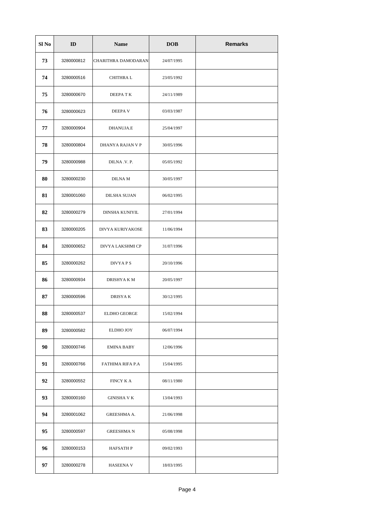| Sl No | ID         | <b>Name</b>           | <b>DOB</b> | <b>Remarks</b> |
|-------|------------|-----------------------|------------|----------------|
| 73    | 3280000812 | CHARITHRA DAMODARAN   | 24/07/1995 |                |
| 74    | 3280000516 | CHITHRA L             | 23/05/1992 |                |
| 75    | 3280000670 | DEEPA T K             | 24/11/1989 |                |
| 76    | 3280000623 | DEEPA V               | 03/03/1987 |                |
| 77    | 3280000904 | DHANUJA.E             | 25/04/1997 |                |
| 78    | 3280000804 | DHANYA RAJAN V P      | 30/05/1996 |                |
| 79    | 3280000988 | DILNA .V. P.          | 05/05/1992 |                |
| 80    | 3280000230 | DILNA M               | 30/05/1997 |                |
| 81    | 3280001060 | DILSHA SUJAN          | 06/02/1995 |                |
| 82    | 3280000279 | <b>DINSHA KUNIYIL</b> | 27/01/1994 |                |
| 83    | 3280000205 | DIVYA KURIYAKOSE      | 11/06/1994 |                |
| 84    | 3280000652 | DIVYA LAKSHMI CP      | 31/07/1996 |                |
| 85    | 3280000262 | DIVYA P S             | 20/10/1996 |                |
| 86    | 3280000934 | DRISHYA K M           | 20/05/1997 |                |
| 87    | 3280000596 | DRISYA K              | 30/12/1995 |                |
| 88    | 3280000537 | <b>ELDHO GEORGE</b>   | 15/02/1994 |                |
| 89    | 3280000582 | ELDHO JOY             | 06/07/1994 |                |
| 90    | 3280000746 | EMINA BABY            | 12/06/1996 |                |
| 91    | 3280000766 | FATHIMA RIFA P.A      | 15/04/1995 |                |
| 92    | 3280000552 | FINCY K A             | 08/11/1980 |                |
| 93    | 3280000160 | GINISHA V K           | 13/04/1993 |                |
| 94    | 3280001062 | GREESHMA A.           | 21/06/1998 |                |
| 95    | 3280000597 | GREESHMA N            | 05/08/1998 |                |
| 96    | 3280000153 | HAFSATH P             | 09/02/1993 |                |
| 97    | 3280000278 | HASEENA V             | 18/03/1995 |                |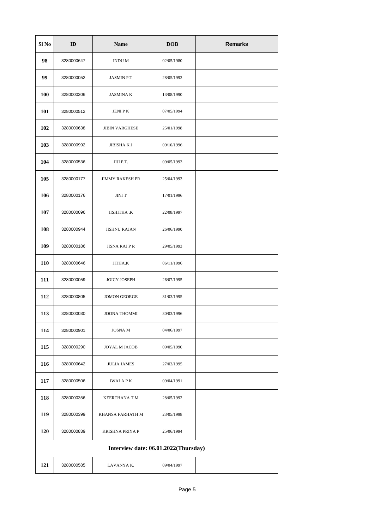| Sl No | ID         | <b>Name</b>           | <b>DOB</b>                           | <b>Remarks</b> |
|-------|------------|-----------------------|--------------------------------------|----------------|
| 98    | 3280000647 | INDU M                | 02/05/1980                           |                |
| 99    | 3280000052 | JASMIN P.T            | 28/05/1993                           |                |
| 100   | 3280000306 | <b>JASMINA K</b>      | 13/08/1990                           |                |
| 101   | 3280000512 | JENI P K              | 07/05/1994                           |                |
| 102   | 3280000638 | <b>JIBIN VARGHESE</b> | 25/01/1998                           |                |
| 103   | 3280000992 | JIBISHA K J           | 09/10/1996                           |                |
| 104   | 3280000536 | JIJI P.T.             | 09/05/1993                           |                |
| 105   | 3280000177 | JIMMY RAKESH PR       | 25/04/1993                           |                |
| 106   | 3280000176 | JINI T                | 17/01/1996                           |                |
| 107   | 3280000096 | JISHITHA .K           | 22/08/1997                           |                |
| 108   | 3280000944 | <b>JISHNU RAJAN</b>   | 26/06/1990                           |                |
| 109   | 3280000186 | JISNA RAJ P R         | 29/05/1993                           |                |
| 110   | 3280000646 | JITHA.K               | 06/11/1996                           |                |
| 111   | 3280000059 | JOICY JOSEPH          | 26/07/1995                           |                |
| 112   | 3280000805 | <b>JOMON GEORGE</b>   | 31/03/1995                           |                |
| 113   | 3280000030 | <b>JOONA THOMMI</b>   | 30/03/1996                           |                |
| 114   | 3280000901 | JOSNA M               | 04/06/1997                           |                |
| 115   | 3280000290 | JOYAL M JACOB         | 09/05/1990                           |                |
| 116   | 3280000642 | <b>JULIA JAMES</b>    | 27/03/1995                           |                |
| 117   | 3280000506 | JWALA P K             | 09/04/1991                           |                |
| 118   | 3280000356 | KEERTHANA T M         | 28/05/1992                           |                |
| 119   | 3280000399 | KHANSA FARHATH M      | 23/05/1998                           |                |
| 120   | 3280000839 | KRISHNA PRIYA P       | 25/06/1994                           |                |
|       |            |                       | Interview date: 06.01.2022(Thursday) |                |
| 121   | 3280000585 | LAVANYA K.            | 09/04/1997                           |                |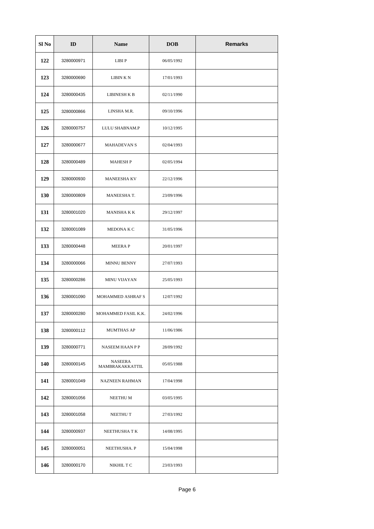| Sl No | ID         | <b>Name</b>                | <b>DOB</b> | <b>Remarks</b> |
|-------|------------|----------------------------|------------|----------------|
| 122   | 3280000971 | LIBI P                     | 06/05/1992 |                |
| 123   | 3280000690 | LIBIN K N                  | 17/01/1993 |                |
| 124   | 3280000435 | LIBINESH K B               | 02/11/1990 |                |
| 125   | 3280000866 | LINSHA M.R.                | 09/10/1996 |                |
| 126   | 3280000757 | LULU SHABNAM.P             | 10/12/1995 |                |
| 127   | 3280000677 | <b>MAHADEVAN S</b>         | 02/04/1993 |                |
| 128   | 3280000489 | <b>MAHESH P</b>            | 02/05/1994 |                |
| 129   | 3280000930 | <b>MANEESHA KV</b>         | 22/12/1996 |                |
| 130   | 3280000809 | MANEESHA T.                | 23/09/1996 |                |
| 131   | 3280001020 | MANISHA K K                | 29/12/1997 |                |
| 132   | 3280001089 | MEDONA K C                 | 31/05/1996 |                |
| 133   | 3280000448 | MEERA P                    | 20/01/1997 |                |
| 134   | 3280000066 | MINNU BENNY                | 27/07/1993 |                |
| 135   | 3280000286 | MINU VIJAYAN               | 25/05/1993 |                |
| 136   | 3280001090 | MOHAMMED ASHRAF S          | 12/07/1992 |                |
| 137   | 3280000280 | MOHAMMED FASIL K.K.        | 24/02/1996 |                |
| 138   | 3280000112 | MUMTHAS AP                 | 11/06/1986 |                |
| 139   | 3280000771 | NASEEM HAAN P P            | 28/09/1992 |                |
| 140   | 3280000145 | NASEERA<br>MAMBRAKAKKATTIL | 05/05/1988 |                |
| 141   | 3280001049 | NAZNEEN RAHMAN             | 17/04/1998 |                |
| 142   | 3280001056 | NEETHU M                   | 03/05/1995 |                |
| 143   | 3280001058 | NEETHU T                   | 27/03/1992 |                |
| 144   | 3280000937 | NEETHUSHA T K              | 14/08/1995 |                |
| 145   | 3280000051 | NEETHUSHA. P               | 15/04/1998 |                |
| 146   | 3280000170 | NIKHIL T C                 | 23/03/1993 |                |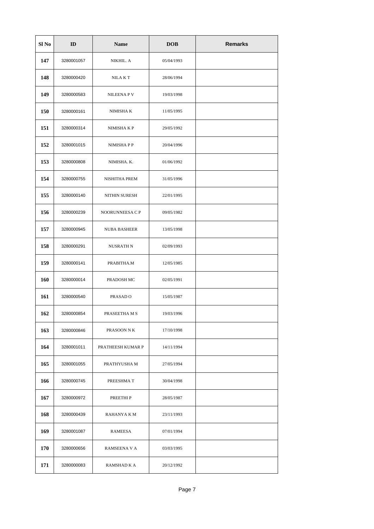| Sl No | ID         | <b>Name</b>         | <b>DOB</b> | <b>Remarks</b> |
|-------|------------|---------------------|------------|----------------|
| 147   | 3280001057 | NIKHIL. A           | 05/04/1993 |                |
| 148   | 3280000420 | NILA K T            | 28/06/1994 |                |
| 149   | 3280000583 | NILEENA P V         | 19/03/1998 |                |
| 150   | 3280000161 | NIMISHA K           | 11/05/1995 |                |
| 151   | 3280000314 | NIMISHA K P         | 29/05/1992 |                |
| 152   | 3280001015 | NIMISHA P P         | 20/04/1996 |                |
| 153   | 3280000808 | NIMISHA. K.         | 01/06/1992 |                |
| 154   | 3280000755 | NISHITHA PREM       | 31/05/1996 |                |
| 155   | 3280000140 | NITHIN SURESH       | 22/01/1995 |                |
| 156   | 3280000239 | NOORUNNEESA C P     | 09/05/1982 |                |
| 157   | 3280000945 | <b>NUBA BASHEER</b> | 13/05/1998 |                |
| 158   | 3280000291 | NUSRATH N           | 02/09/1993 |                |
| 159   | 3280000141 | PRABITHA.M          | 12/05/1985 |                |
| 160   | 3280000014 | PRADOSH MC          | 02/05/1991 |                |
| 161   | 3280000540 | PRASAD <sub>O</sub> | 15/05/1987 |                |
| 162   | 3280000854 | PRASEETHA M S       | 19/03/1996 |                |
| 163   | 3280000846 | PRASOON N K         | 17/10/1998 |                |
| 164   | 3280001011 | PRATHEESH KUMAR P   | 14/11/1994 |                |
| 165   | 3280001055 | PRATHYUSHA M        | 27/05/1994 |                |
| 166   | 3280000745 | PREESHMA T          | 30/04/1998 |                |
| 167   | 3280000972 | PREETHI P           | 28/05/1987 |                |
| 168   | 3280000439 | RAHANYA K M         | 23/11/1993 |                |
| 169   | 3280001087 | RAMEESA             | 07/01/1994 |                |
| 170   | 3280000656 | RAMSEENA V A        | 03/03/1995 |                |
| 171   | 3280000083 | RAMSHAD K A         | 20/12/1992 |                |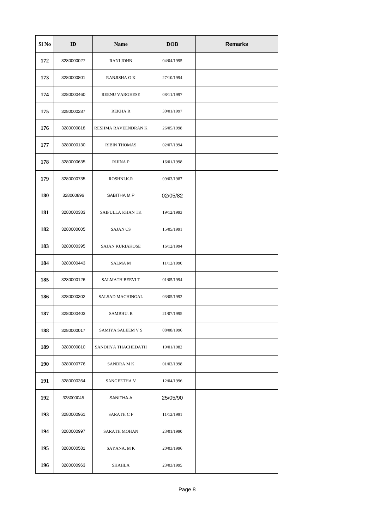| Sl No | ID         | <b>Name</b>         | <b>DOB</b> | <b>Remarks</b> |
|-------|------------|---------------------|------------|----------------|
| 172   | 3280000027 | <b>RANI JOHN</b>    | 04/04/1995 |                |
| 173   | 3280000801 | RANJISHA OK         | 27/10/1994 |                |
| 174   | 3280000460 | REENU VARGHESE      | 08/11/1997 |                |
| 175   | 3280000287 | REKHA R             | 30/01/1997 |                |
| 176   | 3280000818 | RESHMA RAVEENDRAN K | 26/05/1998 |                |
| 177   | 3280000130 | <b>RIBIN THOMAS</b> | 02/07/1994 |                |
| 178   | 3280000635 | RIJINA P            | 16/01/1998 |                |
| 179   | 3280000735 | ROSHNI.K.R          | 09/03/1987 |                |
| 180   | 328000896  | SABITHA M.P         | 02/05/82   |                |
| 181   | 3280000383 | SAIFULLA KHAN TK    | 19/12/1993 |                |
| 182   | 3280000005 | <b>SAJAN CS</b>     | 15/05/1991 |                |
| 183   | 3280000395 | SAJAN KURIAKOSE     | 16/12/1994 |                |
| 184   | 3280000443 | SALMA M             | 11/12/1990 |                |
| 185   | 3280000126 | SALMATH BEEVI T     | 01/05/1994 |                |
| 186   | 3280000302 | SALSAD MACHINGAL    | 03/05/1992 |                |
| 187   | 3280000403 | SAMBHU. R           | 21/07/1995 |                |
| 188   | 3280000017 | SAMIYA SALEEM V S   | 08/08/1996 |                |
| 189   | 3280000810 | SANDHYA THACHEDATH  | 19/01/1982 |                |
| 190   | 3280000776 | SANDRA M K          | 01/02/1998 |                |
| 191   | 3280000364 | SANGEETHA V         | 12/04/1996 |                |
| 192   | 328000045  | SANITHA.A           | 25/05/90   |                |
| 193   | 3280000961 | SARATH C F          | 11/12/1991 |                |
| 194   | 3280000997 | SARATH MOHAN        | 23/01/1990 |                |
| 195   | 3280000581 | SAYANA. M K         | 20/03/1996 |                |
| 196   | 3280000963 | SHAHLA              | 23/03/1995 |                |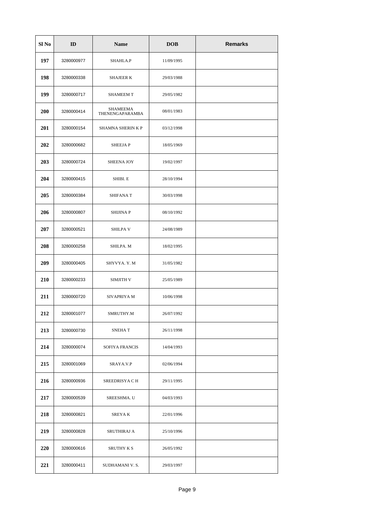| Sl No | ID         | <b>Name</b>                 | <b>DOB</b> | <b>Remarks</b> |
|-------|------------|-----------------------------|------------|----------------|
| 197   | 3280000977 | SHAHLA.P                    | 11/09/1995 |                |
| 198   | 3280000338 | <b>SHAJEER K</b>            | 29/03/1988 |                |
| 199   | 3280000717 | <b>SHAMEEM T</b>            | 29/05/1982 |                |
| 200   | 3280000414 | SHAMEEMA<br>THENENGAPARAMBA | 08/01/1983 |                |
| 201   | 3280000154 | SHAMNA SHERIN K P           | 03/12/1998 |                |
| 202   | 3280000682 | SHEEJA P                    | 18/05/1969 |                |
| 203   | 3280000724 | SHEENA JOY                  | 19/02/1997 |                |
| 204   | 3280000415 | SHIBI. E                    | 28/10/1994 |                |
| 205   | 3280000384 | SHIFANA T                   | 30/03/1998 |                |
| 206   | 3280000807 | SHIJINA P                   | 08/10/1992 |                |
| 207   | 3280000521 | <b>SHILPA V</b>             | 24/08/1989 |                |
| 208   | 3280000258 | SHILPA. M                   | 18/02/1995 |                |
| 209   | 3280000405 | SHYVYA. Y. M                | 31/05/1982 |                |
| 210   | 3280000233 | SIMJITH V                   | 25/05/1989 |                |
| 211   | 3280000720 | SIVAPRIYA M                 | 10/06/1998 |                |
| 212   | 3280001077 | SMRUTHY.M                   | 26/07/1992 |                |
| 213   | 3280000730 | SNEHA T                     | 26/11/1998 |                |
| 214   | 3280000074 | SOFIYA FRANCIS              | 14/04/1993 |                |
| 215   | 3280001069 | SRAYA.V.P                   | 02/06/1994 |                |
| 216   | 3280000936 | SREEDRISYA C H              | 29/11/1995 |                |
| 217   | 3280000539 | SREESHMA. U                 | 04/03/1993 |                |
| 218   | 3280000821 | SREYA K                     | 22/01/1996 |                |
| 219   | 3280000828 | SRUTHIRAJ A                 | 25/10/1996 |                |
| 220   | 3280000616 | SRUTHY K S                  | 26/05/1992 |                |
| 221   | 3280000411 | SUDHAMANI V. S.             | 29/03/1997 |                |